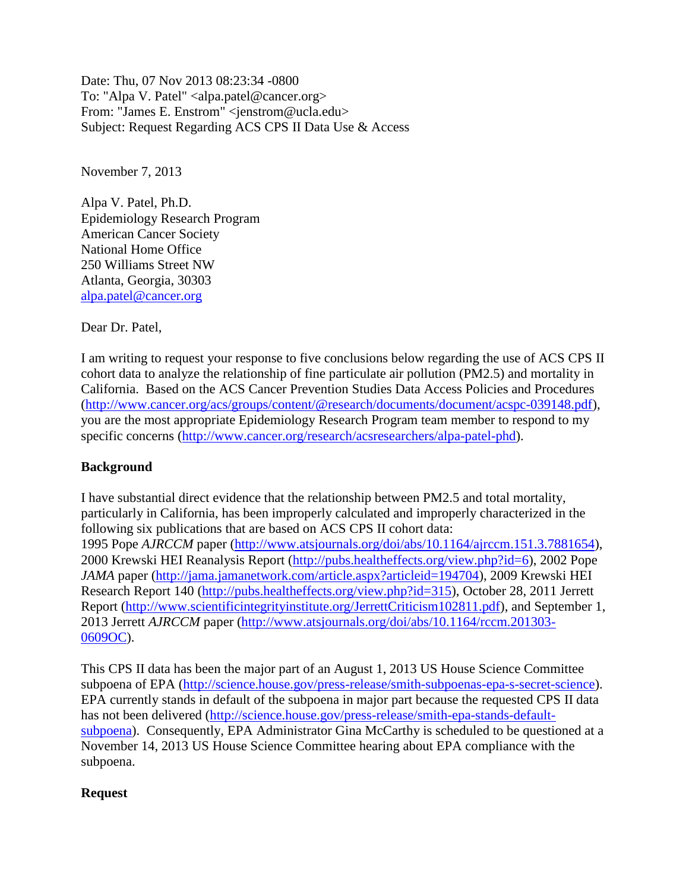Date: Thu, 07 Nov 2013 08:23:34 -0800 To: "Alpa V. Patel" <alpa.patel@cancer.org> From: "James E. Enstrom" <jenstrom@ucla.edu> Subject: Request Regarding ACS CPS II Data Use & Access

November 7, 2013

Alpa V. Patel, Ph.D. Epidemiology Research Program American Cancer Society National Home Office 250 Williams Street NW Atlanta, Georgia, 30303 [alpa.patel@cancer.org](mailto:alpa.patel@cancer.org)

Dear Dr. Patel,

I am writing to request your response to five conclusions below regarding the use of ACS CPS II cohort data to analyze the relationship of fine particulate air pollution (PM2.5) and mortality in California. Based on the ACS Cancer Prevention Studies Data Access Policies and Procedures [\(http://www.cancer.org/acs/groups/content/@research/documents/document/acspc-039148.pdf\)](http://www.cancer.org/acs/groups/content/@research/documents/document/acspc-039148.pdf), you are the most appropriate Epidemiology Research Program team member to respond to my specific concerns [\(http://www.cancer.org/research/acsresearchers/alpa-patel-phd\)](http://www.cancer.org/research/acsresearchers/alpa-patel-phd).

## **Background**

I have substantial direct evidence that the relationship between PM2.5 and total mortality, particularly in California, has been improperly calculated and improperly characterized in the following six publications that are based on ACS CPS II cohort data: 1995 Pope *AJRCCM* paper [\(http://www.atsjournals.org/doi/abs/10.1164/ajrccm.151.3.7881654\)](http://www.atsjournals.org/doi/abs/10.1164/ajrccm.151.3.7881654), 2000 Krewski HEI Reanalysis Report [\(http://pubs.healtheffects.org/view.php?id=6\)](http://pubs.healtheffects.org/view.php?id=6), 2002 Pope *JAMA* paper [\(http://jama.jamanetwork.com/article.aspx?articleid=194704\)](http://jama.jamanetwork.com/article.aspx?articleid=194704), 2009 Krewski HEI Research Report 140 [\(http://pubs.healtheffects.org/view.php?id=315\)](http://pubs.healtheffects.org/view.php?id=315), October 28, 2011 Jerrett Report [\(http://www.scientificintegrityinstitute.org/JerrettCriticism102811.pdf\)](http://www.scientificintegrityinstitute.org/JerrettCriticism102811.pdf), and September 1, 2013 Jerrett *AJRCCM* paper [\(http://www.atsjournals.org/doi/abs/10.1164/rccm.201303-](http://www.atsjournals.org/doi/abs/10.1164/rccm.201303-0609OC) [0609OC\)](http://www.atsjournals.org/doi/abs/10.1164/rccm.201303-0609OC).

This CPS II data has been the major part of an August 1, 2013 US House Science Committee subpoena of EPA [\(http://science.house.gov/press-release/smith-subpoenas-epa-s-secret-science\)](http://science.house.gov/press-release/smith-subpoenas-epa-s-secret-science). EPA currently stands in default of the subpoena in major part because the requested CPS II data has not been delivered [\(http://science.house.gov/press-release/smith-epa-stands-default](http://science.house.gov/press-release/smith-epa-stands-default-subpoena)[subpoena\)](http://science.house.gov/press-release/smith-epa-stands-default-subpoena). Consequently, EPA Administrator Gina McCarthy is scheduled to be questioned at a November 14, 2013 US House Science Committee hearing about EPA compliance with the subpoena.

## **Request**